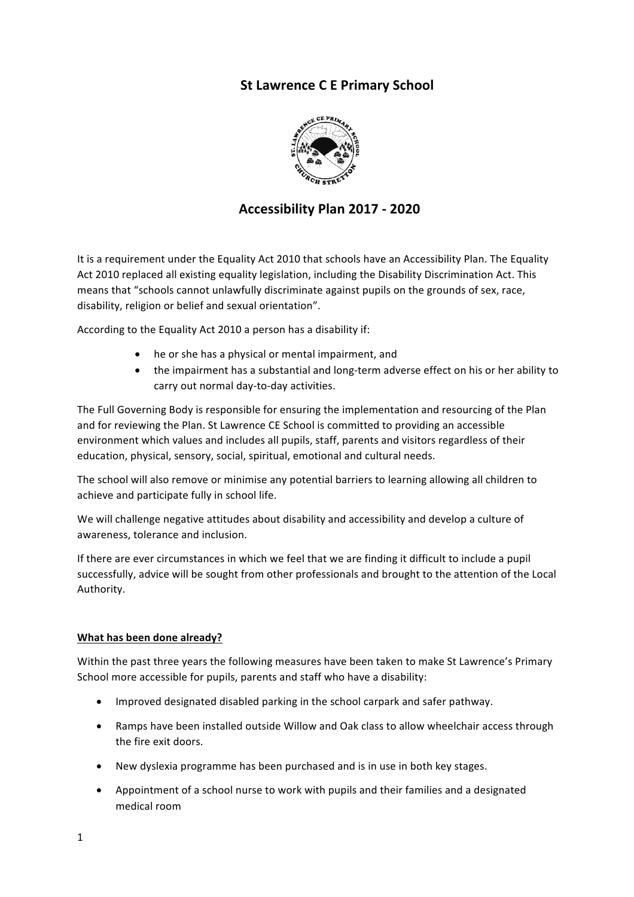# **St Lawrence C E Primary School**



# **Accessibility Plan 2017 - 2020**

It is a requirement under the Equality Act 2010 that schools have an Accessibility Plan. The Equality Act 2010 replaced all existing equality legislation, including the Disability Discrimination Act. This means that "schools cannot unlawfully discriminate against pupils on the grounds of sex, race, disability, religion or belief and sexual orientation".

According to the Equality Act 2010 a person has a disability if:

- he or she has a physical or mental impairment, and
- the impairment has a substantial and long-term adverse effect on his or her ability to carry out normal day-to-day activities.

The Full Governing Body is responsible for ensuring the implementation and resourcing of the Plan and for reviewing the Plan. St Lawrence CE School is committed to providing an accessible environment which values and includes all pupils, staff, parents and visitors regardless of their education, physical, sensory, social, spiritual, emotional and cultural needs.

The school will also remove or minimise any potential barriers to learning allowing all children to achieve and participate fully in school life.

We will challenge negative attitudes about disability and accessibility and develop a culture of awareness, tolerance and inclusion.

If there are ever circumstances in which we feel that we are finding it difficult to include a pupil successfully, advice will be sought from other professionals and brought to the attention of the Local Authority.

#### **What has been done already?**

Within the past three years the following measures have been taken to make St Lawrence's Primary School more accessible for pupils, parents and staff who have a disability:

- Improved designated disabled parking in the school carpark and safer pathway.
- Ramps have been installed outside Willow and Oak class to allow wheelchair access through the fire exit doors.
- New dyslexia programme has been purchased and is in use in both key stages.
- Appointment of a school nurse to work with pupils and their families and a designated medical room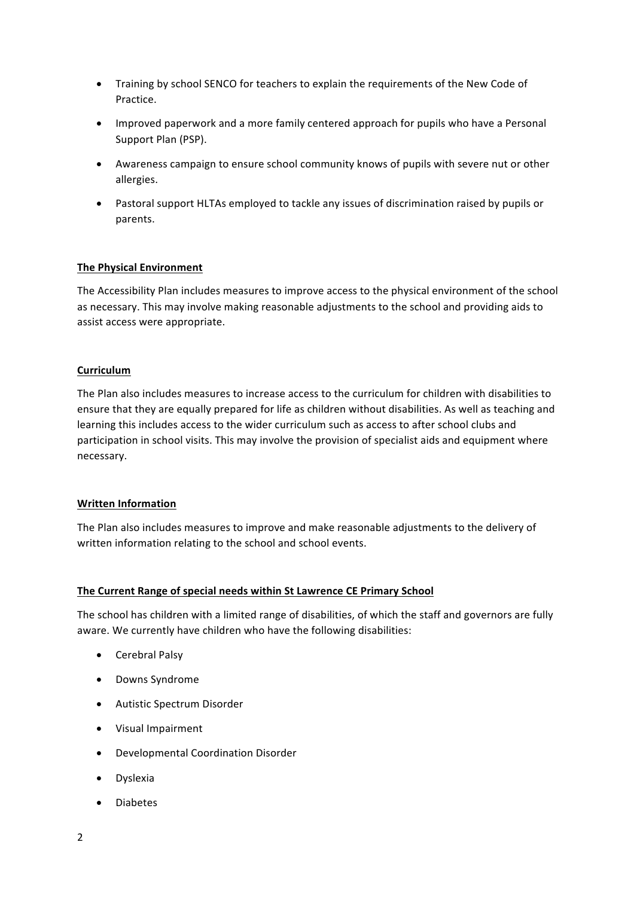- Training by school SENCO for teachers to explain the requirements of the New Code of Practice.
- Improved paperwork and a more family centered approach for pupils who have a Personal Support Plan (PSP).
- Awareness campaign to ensure school community knows of pupils with severe nut or other allergies.
- Pastoral support HLTAs employed to tackle any issues of discrimination raised by pupils or parents.

#### **The Physical Environment**

The Accessibility Plan includes measures to improve access to the physical environment of the school as necessary. This may involve making reasonable adjustments to the school and providing aids to assist access were appropriate.

#### **Curriculum**

The Plan also includes measures to increase access to the curriculum for children with disabilities to ensure that they are equally prepared for life as children without disabilities. As well as teaching and learning this includes access to the wider curriculum such as access to after school clubs and participation in school visits. This may involve the provision of specialist aids and equipment where necessary.

#### **Written Information**

The Plan also includes measures to improve and make reasonable adjustments to the delivery of written information relating to the school and school events.

#### **The Current Range of special needs within St Lawrence CE Primary School**

The school has children with a limited range of disabilities, of which the staff and governors are fully aware. We currently have children who have the following disabilities:

- Cerebral Palsy
- Downs Syndrome
- Autistic Spectrum Disorder
- Visual Impairment
- Developmental Coordination Disorder
- Dyslexia
- Diabetes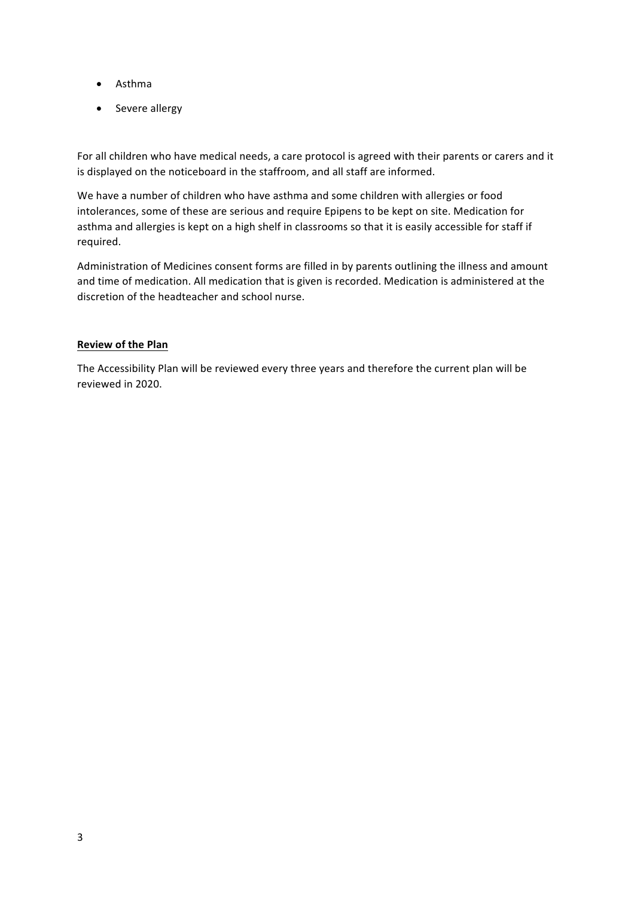- Asthma
- Severe allergy

For all children who have medical needs, a care protocol is agreed with their parents or carers and it is displayed on the noticeboard in the staffroom, and all staff are informed.

We have a number of children who have asthma and some children with allergies or food intolerances, some of these are serious and require Epipens to be kept on site. Medication for asthma and allergies is kept on a high shelf in classrooms so that it is easily accessible for staff if required.

Administration of Medicines consent forms are filled in by parents outlining the illness and amount and time of medication. All medication that is given is recorded. Medication is administered at the discretion of the headteacher and school nurse.

### **Review of the Plan**

The Accessibility Plan will be reviewed every three years and therefore the current plan will be reviewed in 2020.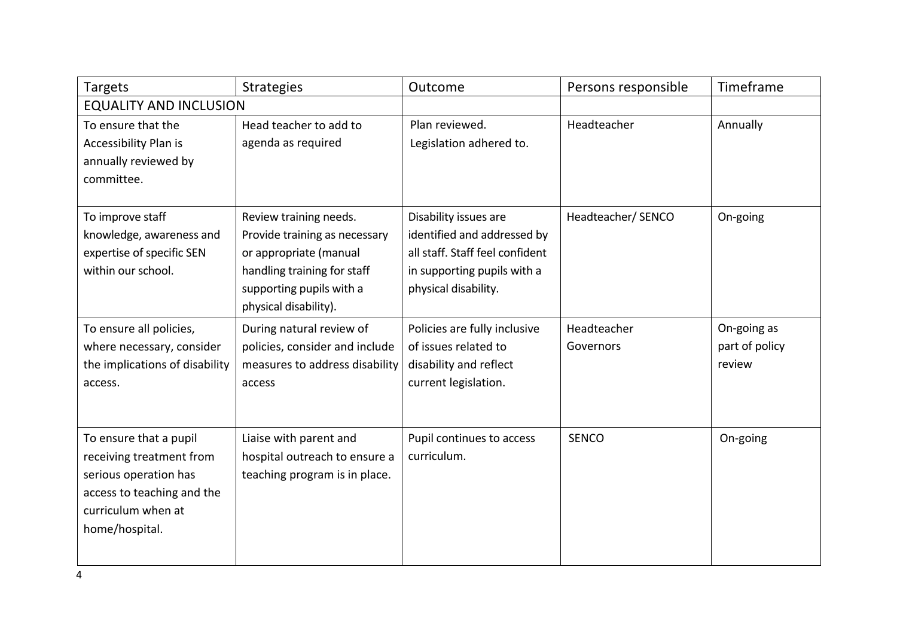| <b>Targets</b>                                                                                                                                    | <b>Strategies</b>                                                                                                                                                     | Outcome                                                                                                                                        | Persons responsible      | Timeframe                               |
|---------------------------------------------------------------------------------------------------------------------------------------------------|-----------------------------------------------------------------------------------------------------------------------------------------------------------------------|------------------------------------------------------------------------------------------------------------------------------------------------|--------------------------|-----------------------------------------|
| <b>EQUALITY AND INCLUSION</b>                                                                                                                     |                                                                                                                                                                       |                                                                                                                                                |                          |                                         |
| To ensure that the<br>Accessibility Plan is<br>annually reviewed by<br>committee.                                                                 | Head teacher to add to<br>agenda as required                                                                                                                          | Plan reviewed.<br>Legislation adhered to.                                                                                                      | Headteacher              | Annually                                |
| To improve staff<br>knowledge, awareness and<br>expertise of specific SEN<br>within our school.                                                   | Review training needs.<br>Provide training as necessary<br>or appropriate (manual<br>handling training for staff<br>supporting pupils with a<br>physical disability). | Disability issues are<br>identified and addressed by<br>all staff. Staff feel confident<br>in supporting pupils with a<br>physical disability. | Headteacher/ SENCO       | On-going                                |
| To ensure all policies,<br>where necessary, consider<br>the implications of disability<br>access.                                                 | During natural review of<br>policies, consider and include<br>measures to address disability<br>access                                                                | Policies are fully inclusive<br>of issues related to<br>disability and reflect<br>current legislation.                                         | Headteacher<br>Governors | On-going as<br>part of policy<br>review |
| To ensure that a pupil<br>receiving treatment from<br>serious operation has<br>access to teaching and the<br>curriculum when at<br>home/hospital. | Liaise with parent and<br>hospital outreach to ensure a<br>teaching program is in place.                                                                              | Pupil continues to access<br>curriculum.                                                                                                       | <b>SENCO</b>             | On-going                                |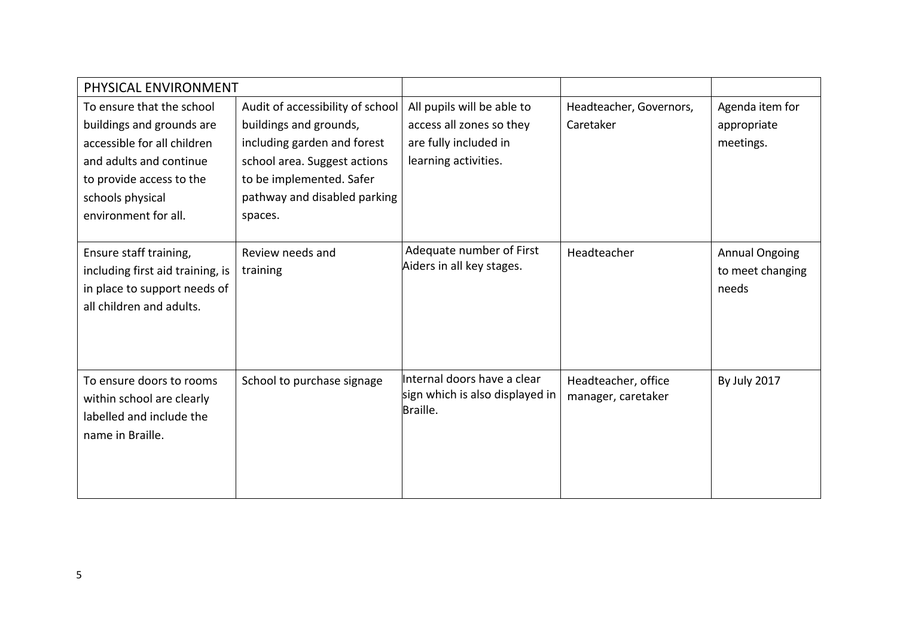| PHYSICAL ENVIRONMENT             |                                  |                                 |                         |                       |
|----------------------------------|----------------------------------|---------------------------------|-------------------------|-----------------------|
| To ensure that the school        | Audit of accessibility of school | All pupils will be able to      | Headteacher, Governors, | Agenda item for       |
| buildings and grounds are        | buildings and grounds,           | access all zones so they        | Caretaker               | appropriate           |
| accessible for all children      | including garden and forest      | are fully included in           |                         | meetings.             |
| and adults and continue          | school area. Suggest actions     | learning activities.            |                         |                       |
| to provide access to the         | to be implemented. Safer         |                                 |                         |                       |
| schools physical                 | pathway and disabled parking     |                                 |                         |                       |
| environment for all.             | spaces.                          |                                 |                         |                       |
|                                  |                                  |                                 |                         |                       |
| Ensure staff training,           | Review needs and                 | Adequate number of First        | Headteacher             | <b>Annual Ongoing</b> |
| including first aid training, is | training                         | Aiders in all key stages.       |                         | to meet changing      |
| in place to support needs of     |                                  |                                 |                         | needs                 |
| all children and adults.         |                                  |                                 |                         |                       |
|                                  |                                  |                                 |                         |                       |
|                                  |                                  |                                 |                         |                       |
| To ensure doors to rooms         | School to purchase signage       | Internal doors have a clear     | Headteacher, office     | <b>By July 2017</b>   |
| within school are clearly        |                                  | sign which is also displayed in | manager, caretaker      |                       |
| labelled and include the         |                                  | Braille.                        |                         |                       |
| name in Braille.                 |                                  |                                 |                         |                       |
|                                  |                                  |                                 |                         |                       |
|                                  |                                  |                                 |                         |                       |
|                                  |                                  |                                 |                         |                       |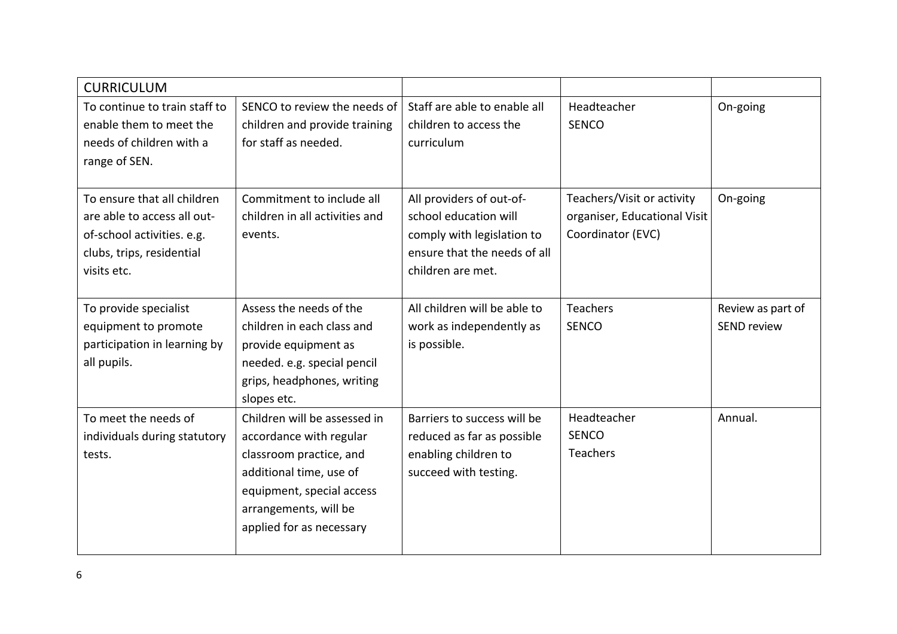| <b>CURRICULUM</b>                                                                                                                    |                                                                                                                                                                                                 |                                                                                                                                      |                                                                                 |                                         |
|--------------------------------------------------------------------------------------------------------------------------------------|-------------------------------------------------------------------------------------------------------------------------------------------------------------------------------------------------|--------------------------------------------------------------------------------------------------------------------------------------|---------------------------------------------------------------------------------|-----------------------------------------|
| To continue to train staff to<br>enable them to meet the<br>needs of children with a<br>range of SEN.                                | SENCO to review the needs of<br>children and provide training<br>for staff as needed.                                                                                                           | Staff are able to enable all<br>children to access the<br>curriculum                                                                 | Headteacher<br><b>SENCO</b>                                                     | On-going                                |
| To ensure that all children<br>are able to access all out-<br>of-school activities. e.g.<br>clubs, trips, residential<br>visits etc. | Commitment to include all<br>children in all activities and<br>events.                                                                                                                          | All providers of out-of-<br>school education will<br>comply with legislation to<br>ensure that the needs of all<br>children are met. | Teachers/Visit or activity<br>organiser, Educational Visit<br>Coordinator (EVC) | On-going                                |
| To provide specialist<br>equipment to promote<br>participation in learning by<br>all pupils.                                         | Assess the needs of the<br>children in each class and<br>provide equipment as<br>needed. e.g. special pencil<br>grips, headphones, writing<br>slopes etc.                                       | All children will be able to<br>work as independently as<br>is possible.                                                             | <b>Teachers</b><br><b>SENCO</b>                                                 | Review as part of<br><b>SEND review</b> |
| To meet the needs of<br>individuals during statutory<br>tests.                                                                       | Children will be assessed in<br>accordance with regular<br>classroom practice, and<br>additional time, use of<br>equipment, special access<br>arrangements, will be<br>applied for as necessary | Barriers to success will be<br>reduced as far as possible<br>enabling children to<br>succeed with testing.                           | Headteacher<br><b>SENCO</b><br><b>Teachers</b>                                  | Annual.                                 |